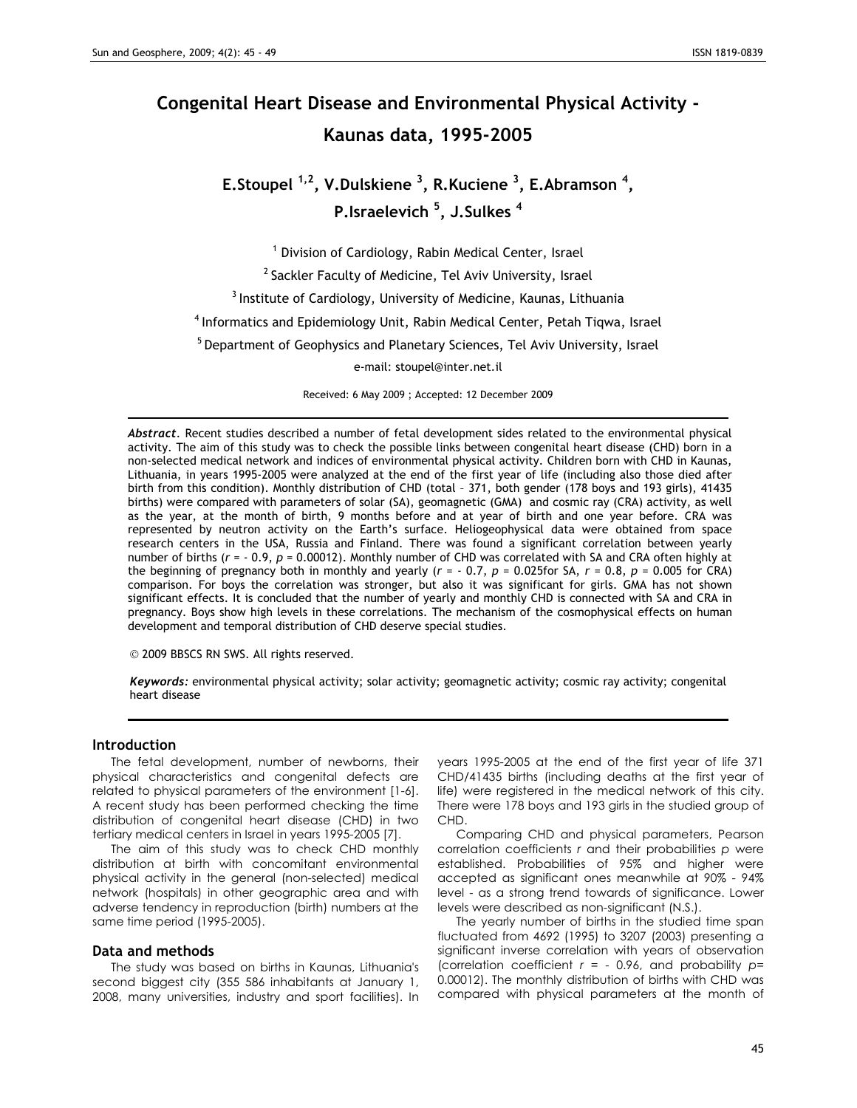# **Congenital Heart Disease and Environmental Physical Activity - Kaunas data, 1995-2005**

**E.Stoupel 1,2, V.Dulskiene 3 , R.Kuciene <sup>3</sup> , E.Abramson 4 , P.Israelevich 5 , J.Sulkes <sup>4</sup>**

<sup>1</sup> Division of Cardiology, Rabin Medical Center, Israel <sup>2</sup> Sackler Faculty of Medicine, Tel Aviv University, Israel <sup>3</sup> Institute of Cardiology, University of Medicine, Kaunas, Lithuania <sup>4</sup> Informatics and Epidemiology Unit, Rabin Medical Center, Petah Tigwa, Israel <sup>5</sup> Department of Geophysics and Planetary Sciences, Tel Aviv University, Israel e-mail: stoupel@inter.net.il

Received: 6 May 2009 ; Accepted: 12 December 2009

*Abstract*. Recent studies described a number of fetal development sides related to the environmental physical activity. The aim of this study was to check the possible links between congenital heart disease (CHD) born in a non-selected medical network and indices of environmental physical activity. Children born with CHD in Kaunas, Lithuania, in years 1995-2005 were analyzed at the end of the first year of life (including also those died after birth from this condition). Monthly distribution of CHD (total – 371, both gender (178 boys and 193 girls), 41435 births) were compared with parameters of solar (SA), geomagnetic (GMA) and cosmic ray (CRA) activity, as well as the year, at the month of birth, 9 months before and at year of birth and one year before. CRA was represented by neutron activity on the Earth's surface. Heliogeophysical data were obtained from space research centers in the USA, Russia and Finland. There was found a significant correlation between yearly number of births (*r* = - 0.9, *p* = 0.00012). Monthly number of CHD was correlated with SA and CRA often highly at the beginning of pregnancy both in monthly and yearly  $(r = -0.7, p = 0.025$  for SA,  $r = 0.8, p = 0.005$  for CRA) comparison. For boys the correlation was stronger, but also it was significant for girls. GMA has not shown significant effects. It is concluded that the number of yearly and monthly CHD is connected with SA and CRA in pregnancy. Boys show high levels in these correlations. The mechanism of the cosmophysical effects on human development and temporal distribution of CHD deserve special studies.

 $\odot$  2009 BBSCS RN SWS. All rights reserved.

*Keywords:* environmental physical activity; solar activity; geomagnetic activity; cosmic ray activity; congenital heart disease

#### **Introduction**

The fetal development, number of newborns, their physical characteristics and congenital defects are related to physical parameters of the environment [1-6]. A recent study has been performed checking the time distribution of congenital heart disease (CHD) in two tertiary medical centers in Israel in years 1995-2005 [7].

The aim of this study was to check CHD monthly distribution at birth with concomitant environmental physical activity in the general (non-selected) medical network (hospitals) in other geographic area and with adverse tendency in reproduction (birth) numbers at the same time period (1995-2005).

#### **Data and methods**

The study was based on births in Kaunas, Lithuania's second biggest city (355 586 inhabitants at January 1, 2008, many universities, industry and sport facilities). In years 1995-2005 at the end of the first year of life 371 CHD/41435 births (including deaths at the first year of life) were registered in the medical network of this city. There were 178 boys and 193 girls in the studied group of CHD.

Comparing CHD and physical parameters, Pearson correlation coefficients *r* and their probabilities *p* were established. Probabilities of 95% and higher were accepted as significant ones meanwhile at 90% - 94% level - as a strong trend towards of significance. Lower levels were described as non-significant (N.S.).

The yearly number of births in the studied time span fluctuated from 4692 (1995) to 3207 (2003) presenting a significant inverse correlation with years of observation (correlation coefficient *r* = - 0.96, and probability *p*= 0.00012). The monthly distribution of births with CHD was compared with physical parameters at the month of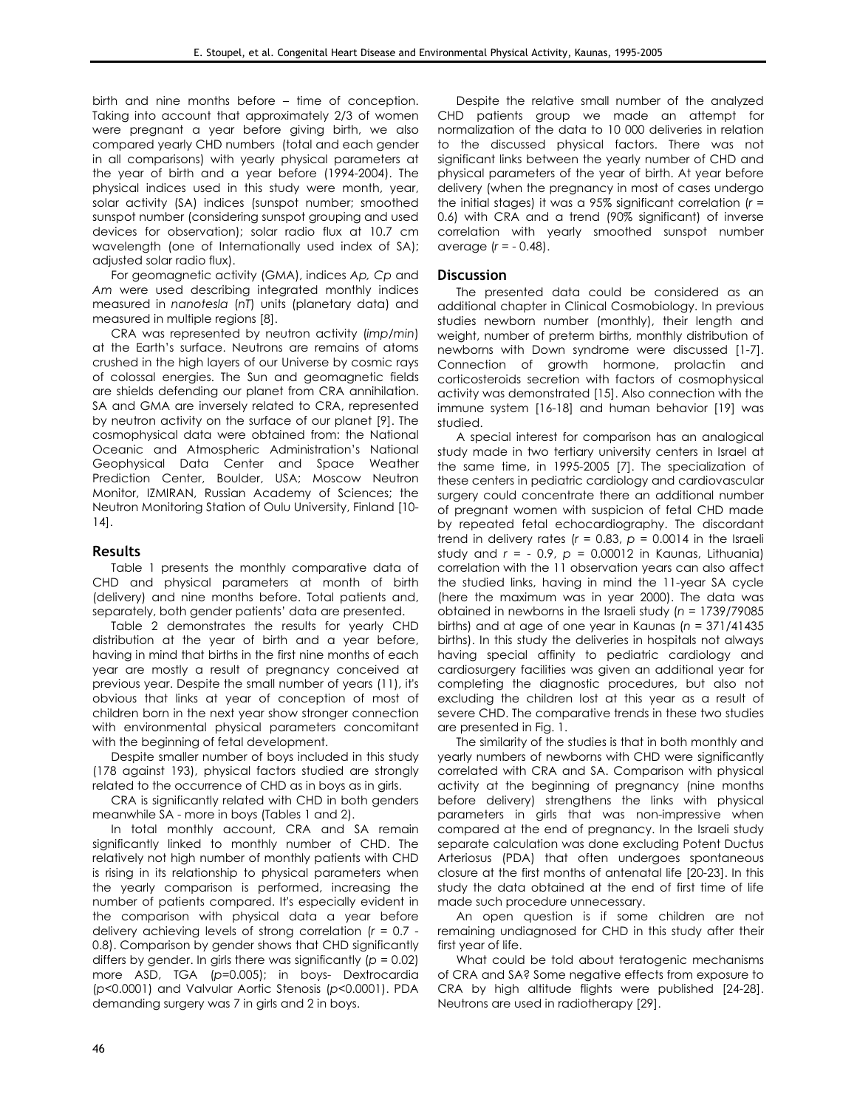birth and nine months before – time of conception. Taking into account that approximately 2/3 of women were pregnant a year before giving birth, we also compared yearly CHD numbers (total and each gender in all comparisons) with yearly physical parameters at the year of birth and a year before (1994-2004). The physical indices used in this study were month, year, solar activity (SA) indices (sunspot number; smoothed sunspot number (considering sunspot grouping and used devices for observation); solar radio flux at 10.7 cm wavelength (one of Internationally used index of SA); adjusted solar radio flux).

For geomagnetic activity (GMA), indices *Ap, Cp* and *Am* were used describing integrated monthly indices measured in *nanotesla* (*nT*) units (planetary data) and measured in multiple regions [8].

CRA was represented by neutron activity (*imp/min*) at the Earth's surface. Neutrons are remains of atoms crushed in the high layers of our Universe by cosmic rays of colossal energies. The Sun and geomagnetic fields are shields defending our planet from CRA annihilation. SA and GMA are inversely related to CRA, represented by neutron activity on the surface of our planet [9]. The cosmophysical data were obtained from: the National Oceanic and Atmospheric Administration's National Geophysical Data Center and Space Weather Prediction Center, Boulder, USA; Moscow Neutron Monitor, IZMIRAN, Russian Academy of Sciences; the Neutron Monitoring Station of Oulu University, Finland [10- 14].

# **Results**

Table 1 presents the monthly comparative data of CHD and physical parameters at month of birth (delivery) and nine months before. Total patients and, separately, both gender patients' data are presented.

Table 2 demonstrates the results for yearly CHD distribution at the year of birth and a year before, having in mind that births in the first nine months of each year are mostly a result of pregnancy conceived at previous year. Despite the small number of years (11), it's obvious that links at year of conception of most of children born in the next year show stronger connection with environmental physical parameters concomitant with the beginning of fetal development.

Despite smaller number of boys included in this study (178 against 193), physical factors studied are strongly related to the occurrence of CHD as in boys as in girls.

CRA is significantly related with CHD in both genders meanwhile SA - more in boys (Tables 1 and 2).

In total monthly account, CRA and SA remain significantly linked to monthly number of CHD. The relatively not high number of monthly patients with CHD is rising in its relationship to physical parameters when the yearly comparison is performed, increasing the number of patients compared. It's especially evident in the comparison with physical data a year before delivery achieving levels of strong correlation (*r* = 0.7 - 0.8). Comparison by gender shows that CHD significantly differs by gender. In girls there was significantly (*p* = 0.02) more ASD, TGA (*p*=0.005); in boys- Dextrocardia (*p*<0.0001) and Valvular Aortic Stenosis (*p*<0.0001). PDA demanding surgery was 7 in girls and 2 in boys.

Despite the relative small number of the analyzed CHD patients group we made an attempt for normalization of the data to 10 000 deliveries in relation to the discussed physical factors. There was not significant links between the yearly number of CHD and physical parameters of the year of birth. At year before delivery (when the pregnancy in most of cases undergo the initial stages) it was a 95% significant correlation (*r* = 0.6) with CRA and a trend (90% significant) of inverse correlation with yearly smoothed sunspot number average (*r* = - 0.48).

# **Discussion**

The presented data could be considered as an additional chapter in Clinical Cosmobiology. In previous studies newborn number (monthly), their length and weight, number of preterm births, monthly distribution of newborns with Down syndrome were discussed [1-7]. Connection of growth hormone, prolactin and corticosteroids secretion with factors of cosmophysical activity was demonstrated [15]. Also connection with the immune system [16-18] and human behavior [19] was studied.

A special interest for comparison has an analogical study made in two tertiary university centers in Israel at the same time, in 1995-2005 [7]. The specialization of these centers in pediatric cardiology and cardiovascular surgery could concentrate there an additional number of pregnant women with suspicion of fetal CHD made by repeated fetal echocardiography. The discordant trend in delivery rates  $(r = 0.83, p = 0.0014$  in the Israeli study and *r* = - 0.9, *p* = 0.00012 in Kaunas, Lithuania) correlation with the 11 observation years can also affect the studied links, having in mind the 11-year SA cycle (here the maximum was in year 2000). The data was obtained in newborns in the Israeli study (*n* = 1739/79085 births) and at age of one year in Kaunas (*n =* 371/41435 births). In this study the deliveries in hospitals not always having special affinity to pediatric cardiology and cardiosurgery facilities was given an additional year for completing the diagnostic procedures, but also not excluding the children lost at this year as a result of severe CHD. The comparative trends in these two studies are presented in Fig. 1.

The similarity of the studies is that in both monthly and yearly numbers of newborns with CHD were significantly correlated with CRA and SA. Comparison with physical activity at the beginning of pregnancy (nine months before delivery) strengthens the links with physical parameters in girls that was non-impressive when compared at the end of pregnancy. In the Israeli study separate calculation was done excluding Potent Ductus Arteriosus (PDA) that often undergoes spontaneous closure at the first months of antenatal life [20-23]. In this study the data obtained at the end of first time of life made such procedure unnecessary.

An open question is if some children are not remaining undiagnosed for CHD in this study after their first year of life.

What could be told about teratogenic mechanisms of CRA and SA? Some negative effects from exposure to CRA by high altitude flights were published [24-28]. Neutrons are used in radiotherapy [29].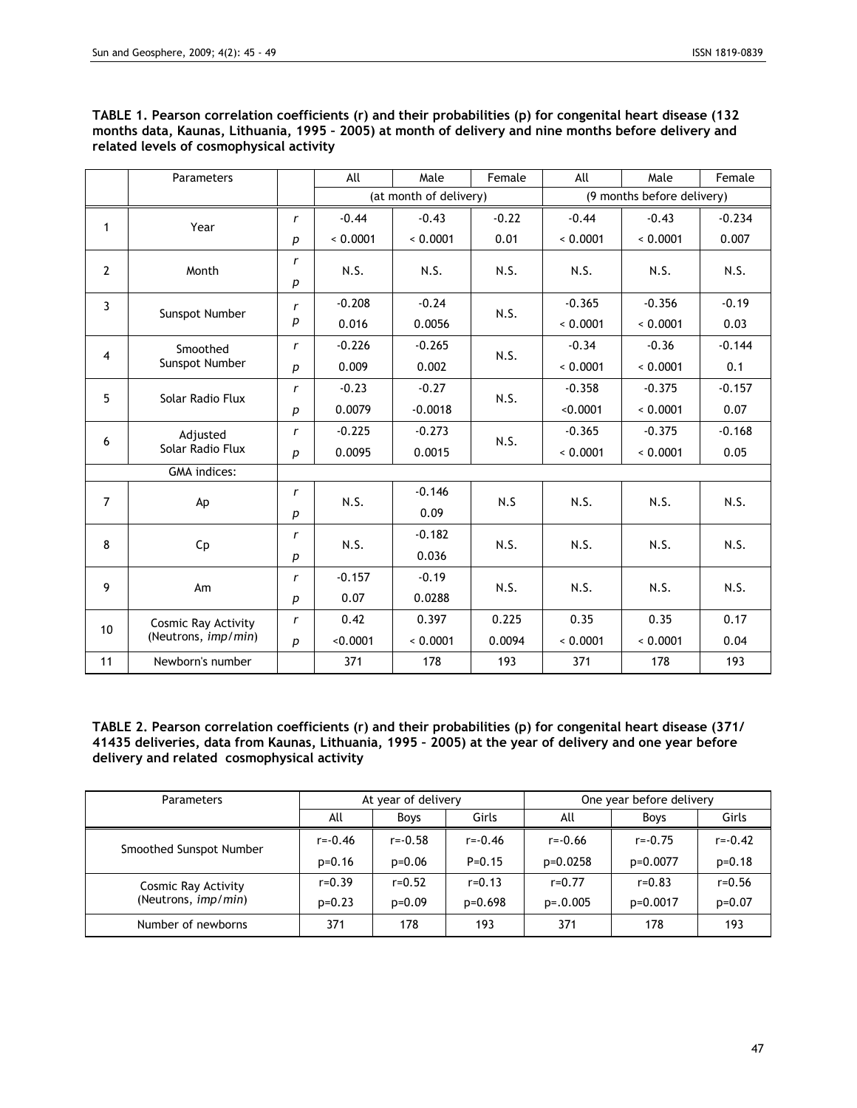|                 | Parameters                                        |                                  | All                    | Male                 | Female          | All                        | Male                 | Female           |
|-----------------|---------------------------------------------------|----------------------------------|------------------------|----------------------|-----------------|----------------------------|----------------------|------------------|
|                 |                                                   |                                  | (at month of delivery) |                      |                 | (9 months before delivery) |                      |                  |
| 1               | Year                                              | $\mathsf{r}$                     | $-0.44$                | $-0.43$              | $-0.22$         | $-0.44$                    | $-0.43$              | $-0.234$         |
|                 |                                                   | p                                | 0.0001                 | < 0.0001             | 0.01            | < 0.0001                   | < 0.0001             | 0.007            |
| $\overline{2}$  | Month                                             | $\mathsf{r}$<br>p                | N.S.                   | N.S.                 | N.S.            | N.S.                       | N.S.                 | N.S.             |
| 3               | Sunspot Number                                    | r<br>$\boldsymbol{p}$            | $-0.208$<br>0.016      | $-0.24$<br>0.0056    | N.S.            | $-0.365$<br>< 0.0001       | $-0.356$<br>< 0.0001 | $-0.19$<br>0.03  |
| $\overline{4}$  | Smoothed<br>Sunspot Number                        | $\mathsf{r}$<br>$\boldsymbol{p}$ | $-0.226$<br>0.009      | $-0.265$<br>0.002    | N.S.            | $-0.34$<br>< 0.0001        | $-0.36$<br>< 0.0001  | $-0.144$<br>0.1  |
| 5               | Solar Radio Flux                                  | $\mathsf{r}$<br>p                | $-0.23$<br>0.0079      | $-0.27$<br>$-0.0018$ | N.S.            | $-0.358$<br>< 0.0001       | $-0.375$<br>< 0.0001 | $-0.157$<br>0.07 |
| 6               | Adjusted<br>Solar Radio Flux                      | $\mathsf{r}$<br>p                | $-0.225$<br>0.0095     | $-0.273$<br>0.0015   | N.S.            | $-0.365$<br>< 0.0001       | $-0.375$<br>< 0.0001 | $-0.168$<br>0.05 |
|                 | <b>GMA</b> indices:                               |                                  |                        |                      |                 |                            |                      |                  |
| $\overline{7}$  | Ap                                                | r<br>p                           | N.S.                   | $-0.146$<br>0.09     | N.S             | N.S.                       | N.S.                 | N.S.             |
| 8               | Cp                                                | r<br>p                           | N.S.                   | $-0.182$<br>0.036    | N.S.            | N.S.                       | N.S.                 | N.S.             |
| 9               | Am                                                | $\mathsf{r}$<br>p                | $-0.157$<br>0.07       | $-0.19$<br>0.0288    | N.S.            | N.S.                       | N.S.                 | N.S.             |
| 10 <sup>1</sup> | <b>Cosmic Ray Activity</b><br>(Neutrons, imp/min) | $\mathsf{r}$<br>p                | 0.42<br>< 0.0001       | 0.397<br>< 0.0001    | 0.225<br>0.0094 | 0.35<br>< 0.0001           | 0.35<br>< 0.0001     | 0.17<br>0.04     |
| 11              | Newborn's number                                  |                                  | 371                    | 178                  | 193             | 371                        | 178                  | 193              |

# **TABLE 1. Pearson correlation coefficients (r) and their probabilities (p) for congenital heart disease (132 months data, Kaunas, Lithuania, 1995 – 2005) at month of delivery and nine months before delivery and related levels of cosmophysical activity**

**TABLE 2. Pearson correlation coefficients (r) and their probabilities (p) for congenital heart disease (371/ 41435 deliveries, data from Kaunas, Lithuania, 1995 – 2005) at the year of delivery and one year before delivery and related cosmophysical activity**

| Parameters                  |             | At year of delivery |             | One year before delivery |             |             |
|-----------------------------|-------------|---------------------|-------------|--------------------------|-------------|-------------|
|                             | All         | Boys                | Girls       | All                      | <b>Boys</b> | Girls       |
| Smoothed Sunspot Number     | $r = -0.46$ | $r = -0.58$         | $r = -0.46$ | r=-0.66                  | $r = -0.75$ | $r = -0.42$ |
|                             | $p=0.16$    | $p=0.06$            | $P=0.15$    | $p=0.0258$               | p=0.0077    | $p=0.18$    |
| Cosmic Ray Activity         | $r = 0.39$  | $r = 0.52$          | $r = 0.13$  | $r = 0.77$               | $r = 0.83$  | $r = 0.56$  |
| (Neutrons, <i>imp/min</i> ) | $p=0.23$    | $p=0.09$            | $p=0.698$   | $p=.0.005$               | p=0.0017    | $p=0.07$    |
| Number of newborns          | 371         | 178                 | 193         | 371                      | 178         | 193         |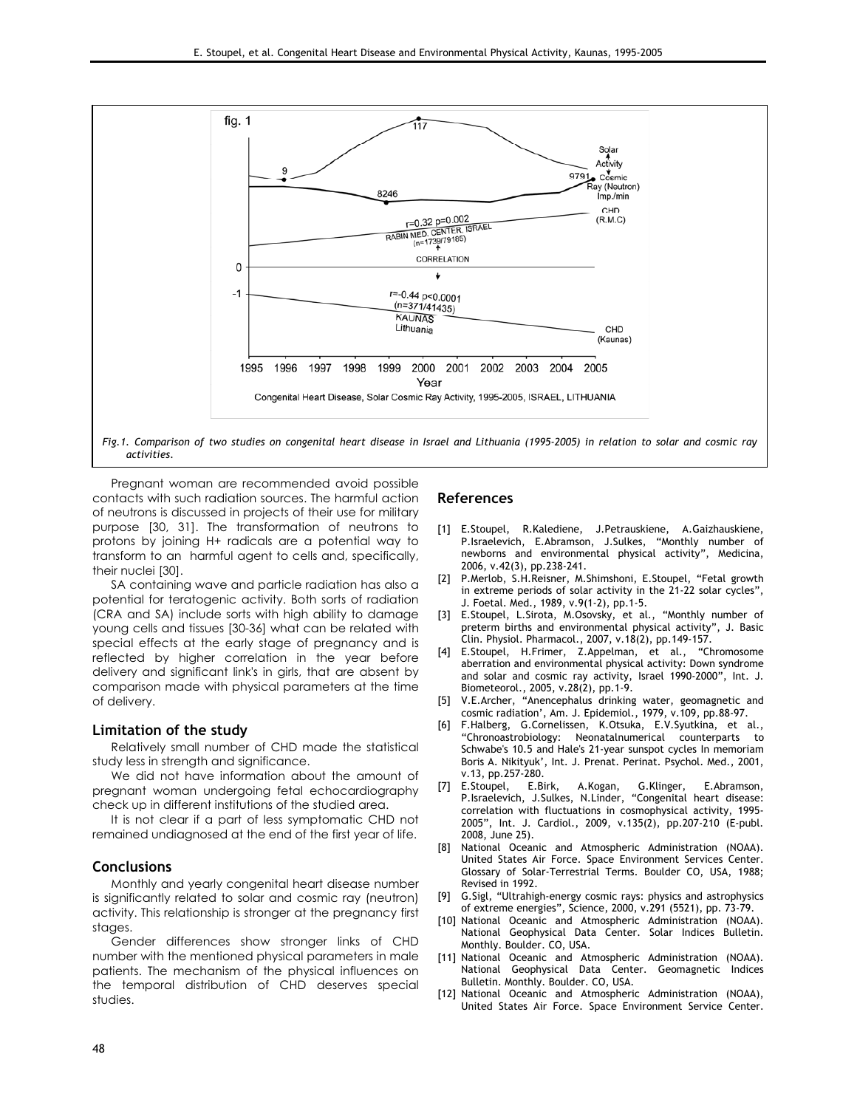

Pregnant woman are recommended avoid possible contacts with such radiation sources. The harmful action of neutrons is discussed in projects of their use for military purpose [30, 31]. The transformation of neutrons to protons by joining H+ radicals are a potential way to transform to an harmful agent to cells and, specifically, their nuclei [30].

SA containing wave and particle radiation has also a potential for teratogenic activity. Both sorts of radiation (CRA and SA) include sorts with high ability to damage young cells and tissues [30-36] what can be related with special effects at the early stage of pregnancy and is reflected by higher correlation in the year before delivery and significant link's in girls, that are absent by comparison made with physical parameters at the time of delivery.

## **Limitation of the study**

Relatively small number of CHD made the statistical study less in strength and significance.

We did not have information about the amount of pregnant woman undergoing fetal echocardiography check up in different institutions of the studied area.

It is not clear if a part of less symptomatic CHD not remained undiagnosed at the end of the first year of life.

## **Conclusions**

Monthly and yearly congenital heart disease number is significantly related to solar and cosmic ray (neutron) activity. This relationship is stronger at the pregnancy first stages.

Gender differences show stronger links of CHD number with the mentioned physical parameters in male patients. The mechanism of the physical influences on the temporal distribution of CHD deserves special studies.

### **References**

- [1] E.Stoupel, R.Kalediene, J.Petrauskiene, A.Gaizhauskiene, P.Israelevich, E.Abramson, J.Sulkes, "Monthly number of newborns and environmental physical activity", Medicina, 2006, v.42(3), pp.238-241.
- [2] P.Merlob, S.H.Reisner, M.Shimshoni, E.Stoupel, "Fetal growth in extreme periods of solar activity in the 21-22 solar cycles", J. Foetal. Med., 1989, v.9(1-2), pp.1-5.
- [3] E.Stoupel, L.Sirota, M.Osovsky, et al., "Monthly number of preterm births and environmental physical activity", J. Basic Clin. Physiol. Pharmacol., 2007, v.18(2), pp.149-157.
- [4] E.Stoupel, H.Frimer, Z.Appelman, et al., "Chromosome aberration and environmental physical activity: Down syndrome and solar and cosmic ray activity, Israel 1990-2000", Int. J. Biometeorol., 2005, v.28(2), pp.1-9.
- [5] V.E.Archer, "Anencephalus drinking water, geomagnetic and cosmic radiation', Am. J. Epidemiol., 1979, v.109, pp.88-97.
- [6] F.Halberg, G.Cornelissen, K.Otsuka, E.V.Syutkina, et al., "Chronoastrobiology: Neonatalnumerical counterparts to Schwabe's 10.5 and Hale's 21-year sunspot cycles In memoriam Boris A. Nikityuk', Int. J. Prenat. Perinat. Psychol. Med., 2001, v.13, pp.257-280.
- [7] E.Stoupel, E.Birk, A.Kogan, G.Klinger, E.Abramson, P.Israelevich, J.Sulkes, N.Linder, "Congenital heart disease: correlation with fluctuations in cosmophysical activity, 1995- 2005", Int. J. Cardiol., 2009, v.135(2), pp.207-210 (E-publ. 2008, June 25).
- [8] National Oceanic and Atmospheric Administration (NOAA). United States Air Force. Space Environment Services Center. Glossary of Solar-Terrestrial Terms. Boulder CO, USA, 1988; Revised in 1992.
- [9] G.Sigl, "Ultrahigh-energy cosmic rays: physics and astrophysics of extreme energies", Science, 2000, v.291 (5521), pp. 73-79.
- [10] National Oceanic and Atmospheric Administration (NOAA). National Geophysical Data Center. Solar Indices Bulletin. Monthly. Boulder. CO, USA.
- [11] National Oceanic and Atmospheric Administration (NOAA). National Geophysical Data Center. Geomagnetic Indices Bulletin. Monthly. Boulder. CO, USA.
- [12] National Oceanic and Atmospheric Administration (NOAA), United States Air Force. Space Environment Service Center.